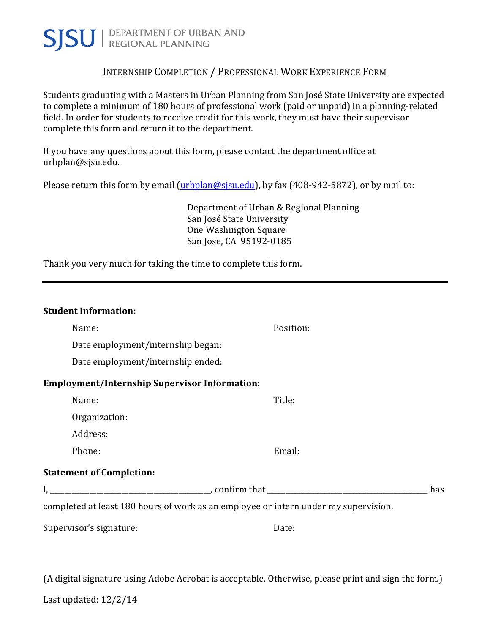

### INTERNSHIP COMPLETION / PROFESSIONAL WORK EXPERIENCE FORM

Students graduating with a Masters in Urban Planning from San José State University are expected to complete a minimum of 180 hours of professional work (paid or unpaid) in a planning-related field. In order for students to receive credit for this work, they must have their supervisor complete this form and return it to the department.

If you have any questions about this form, please contact the department office at urbplan@sjsu.edu. 

Please return this form by email (urbplan@sjsu.edu), by fax (408-942-5872), or by mail to:

Department of Urban & Regional Planning San José State University One Washington Square San Jose, CA 95192-0185

Thank you very much for taking the time to complete this form.

| <b>Student Information:</b>                          |                                                                                     |     |
|------------------------------------------------------|-------------------------------------------------------------------------------------|-----|
| Name:                                                | Position:                                                                           |     |
| Date employment/internship began:                    |                                                                                     |     |
| Date employment/internship ended:                    |                                                                                     |     |
| <b>Employment/Internship Supervisor Information:</b> |                                                                                     |     |
| Name:                                                | Title:                                                                              |     |
| Organization:                                        |                                                                                     |     |
| Address:                                             |                                                                                     |     |
| Phone:                                               | Email:                                                                              |     |
| <b>Statement of Completion:</b>                      |                                                                                     |     |
|                                                      |                                                                                     | has |
|                                                      | completed at least 180 hours of work as an employee or intern under my supervision. |     |
| Supervisor's signature:                              | Date:                                                                               |     |

(A digital signature using Adobe Acrobat is acceptable. Otherwise, please print and sign the form.)

Last updated:  $12/2/14$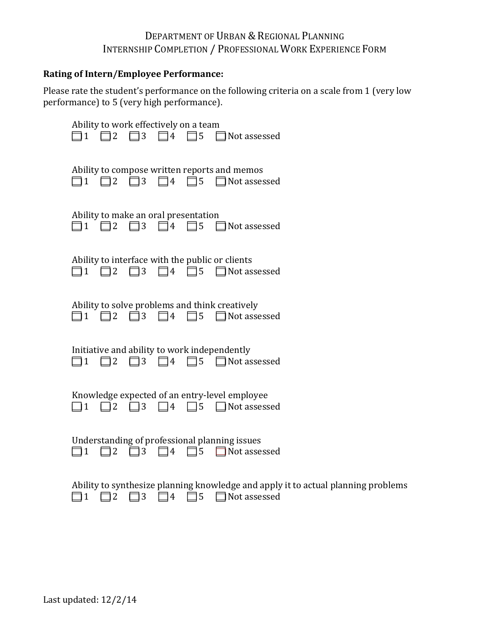### DEPARTMENT OF URBAN & REGIONAL PLANNING INTERNSHIP COMPLETION / PROFESSIONAL WORK EXPERIENCE FORM

#### **Rating of Intern/Employee Performance:**

Please rate the student's performance on the following criteria on a scale from 1 (very low performance) to 5 (very high performance).

| Ability to work effectively on a team<br>$\Box$ 1 $\Box$ 2 $\Box$ 3 $\Box$ 4 $\Box$ 5 $\Box$ Not assessed                                          |
|----------------------------------------------------------------------------------------------------------------------------------------------------|
| Ability to compose written reports and memos<br>$\Box$ 1 $\Box$ 2 $\Box$ 3 $\Box$ 4 $\Box$ 5 $\Box$ Not assessed                                   |
| Ability to make an oral presentation<br>$\square$ 1 $\square$ 2 $\square$ 3 $\square$ 4 $\square$ 5 $\square$ Not assessed                         |
| Ability to interface with the public or clients<br>$\square$ 1 $\square$ 2 $\square$ 3 $\square$ 4 $\square$ 5 $\square$ Not assessed              |
| Ability to solve problems and think creatively<br>$\square$ 1 $\square$ 2 $\square$ 3 $\square$ 4 $\square$ 5 $\square$ Not assessed               |
| Initiative and ability to work independently<br>$\Box$ 1 $\Box$ 2 $\Box$ 3 $\Box$ 4 $\Box$ 5 $\Box$ Not assessed                                   |
| Knowledge expected of an entry-level employee<br>$\Box$ 4 $\Box$ 5 $\Box$ Not assessed<br>$\Box$ 1 $\Box$ 2 $\Box$ 3                               |
| Understanding of professional planning issues<br>$\Box$ 1 $\Box$ 2 $\Box$ 3 $\Box$ 4 $\Box$ 5 $\Box$ Not assessed                                  |
| Ability to synthesize planning knowledge and apply it to actual planning problems<br>$\overline{2}$<br>3<br>5<br>$\mathbf{1}$<br>Not assessed<br>4 |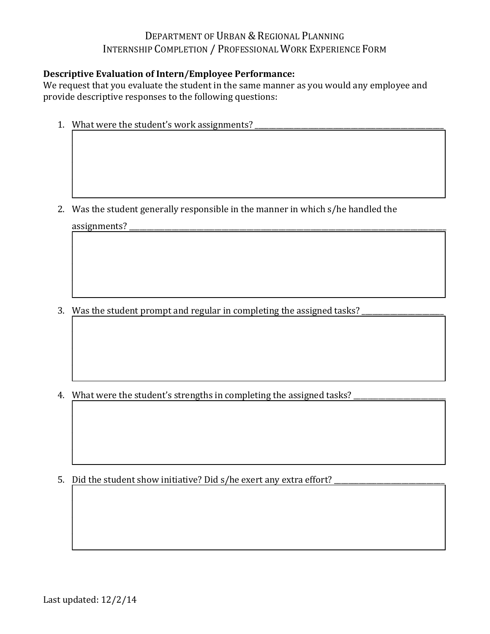# DEPARTMENT OF URBAN & REGIONAL PLANNING INTERNSHIP COMPLETION / PROFESSIONAL WORK EXPERIENCE FORM

#### **Descriptive Evaluation of Intern/Employee Performance:**

We request that you evaluate the student in the same manner as you would any employee and provide descriptive responses to the following questions:

1. What were the student's work assignments?

2. Was the student generally responsible in the manner in which s/he handled the assignments?

3. Was the student prompt and regular in completing the assigned tasks?

4. What were the student's strengths in completing the assigned tasks?

5. Did the student show initiative? Did s/he exert any extra effort?